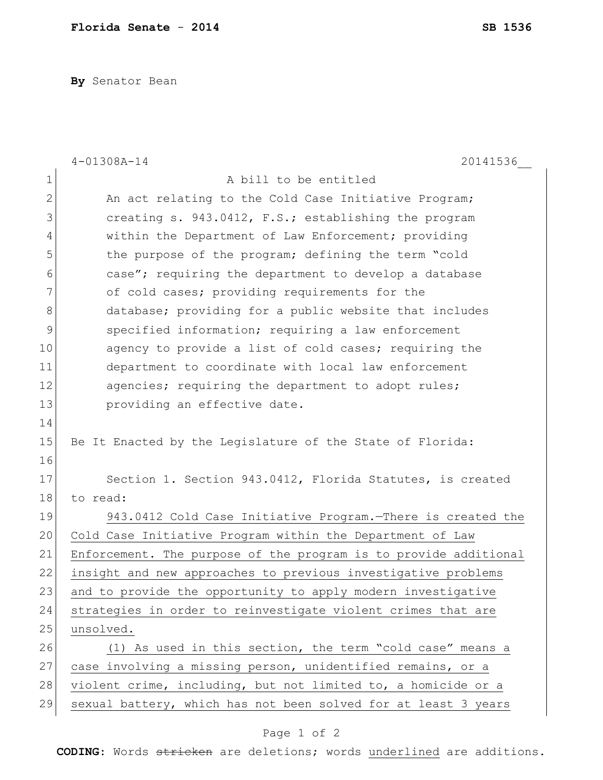**By** Senator Bean

|             | 20141536<br>$4 - 01308A - 14$                                    |
|-------------|------------------------------------------------------------------|
| $\mathbf 1$ | A bill to be entitled                                            |
| 2           | An act relating to the Cold Case Initiative Program;             |
| 3           | creating s. 943.0412, F.S.; establishing the program             |
| 4           | within the Department of Law Enforcement; providing              |
| 5           | the purpose of the program; defining the term "cold              |
| 6           | case"; requiring the department to develop a database            |
| 7           | of cold cases; providing requirements for the                    |
| 8           | database; providing for a public website that includes           |
| 9           | specified information; requiring a law enforcement               |
| 10          | agency to provide a list of cold cases; requiring the            |
| 11          | department to coordinate with local law enforcement              |
| 12          | agencies; requiring the department to adopt rules;               |
| 13          | providing an effective date.                                     |
| 14          |                                                                  |
| 15          | Be It Enacted by the Legislature of the State of Florida:        |
| 16          |                                                                  |
| 17          | Section 1. Section 943.0412, Florida Statutes, is created        |
| 18          | to read:                                                         |
| 19          | 943.0412 Cold Case Initiative Program. There is created the      |
| 20          | Cold Case Initiative Program within the Department of Law        |
| 21          | Enforcement. The purpose of the program is to provide additional |
| 22          | insight and new approaches to previous investigative problems    |
| 23          | and to provide the opportunity to apply modern investigative     |
| 24          | strategies in order to reinvestigate violent crimes that are     |
| 25          | unsolved.                                                        |
| 26          | (1) As used in this section, the term "cold case" means a        |
| 27          | case involving a missing person, unidentified remains, or a      |
| 28          | violent crime, including, but not limited to, a homicide or a    |
| 29          | sexual battery, which has not been solved for at least 3 years   |

## Page 1 of 2

**CODING**: Words stricken are deletions; words underlined are additions.